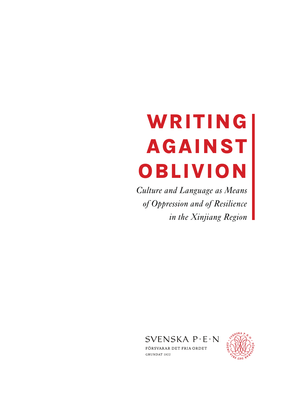# WRITING AGAINST OBLIVION

*Culture and Language as Means of Oppression and of Resilience in the Xinjiang Region*



GRUNDAT 1922

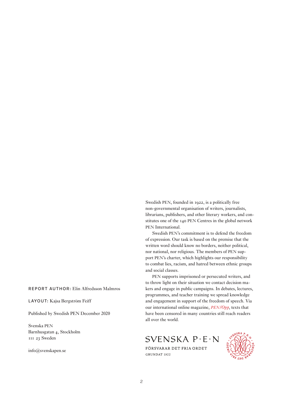#### REPORT AUTHOR: Elin Alfredsson Malmros

LAYOUT: Kajsa Bergström Feiff

Published by Swedish PEN December 2020

Svenska PEN Barnhusgatan 4, Stockholm 111 23 Sweden

info@svenskapen.se

Swedish PEN, founded in 1922, is a politically free non-governmental organisation of writers, journalists, librarians, publishers, and other literary workers, and constitutes one of the 140 PEN Centres in the global network PEN International.

Swedish PEN's commitment is to defend the freedom of expression. Our task is based on the premise that the written word should know no borders, neither political, nor national, nor religious. The members of PEN support PEN's charter, which highlights our responsibility to combat lies, racism, and hatred between ethnic groups and social classes.

PEN supports imprisoned or persecuted writers, and to throw light on their situation we contact decision makers and engage in public campaigns. In debates, lectures, programmes, and teacher training we spread knowledge and engagement in support of the freedom of speech. Via our international online magazine, *PEN/Opp*, texts that have been censored in many countries still reach readers all over the world.

SVENSKA P·E·N

FÖRSVARAR DET FRIA ORDET GRUNDAT 1922

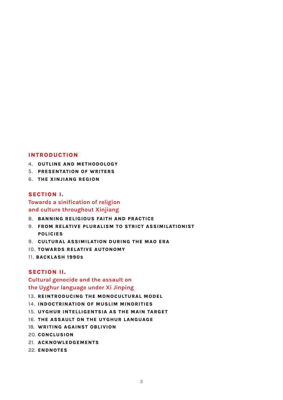#### INTRODUCTION

- 4. OUTLINE AND METHODOLOGY
- 5. PRESENTATION OF WRITERS
- 6. THE XINJIANG REGION

#### SECTION I.

#### Towards a sinification of religion and culture throughout Xinjiang

- 8. BANNING RELIGIOUS FAITH AND PRACTICE
- 9. FROM RELATIVE PLURALISM TO STRICT ASSIMILATIONIST POLICIES
- 9. CULTURAL ASSIMILATION DURING THE MAO ERA
- 10. TOWARDS RELATIVE AUTONOMY
- 11. BACKLASH 1990S

#### SECTION II.

#### Cultural genocide and the assault on the Uyghur language under Xi Jinping

- 13. REINTRODUCING THE MONOCULTURAL MODEL
- 14. INDOCTRINATION OF MUSLIM MINORITIES
- 15. UYGHUR INTELLIGENTSIA AS THE MAIN TARGET
- 16. THE ASSAULT ON THE UYGHUR LANGUAGE
- 18. WRITING AGAINST OBLIVION
- 20. CONCLUSION
- 21. ACKNOWLEDGEMENTS
- 22. ENDNOTES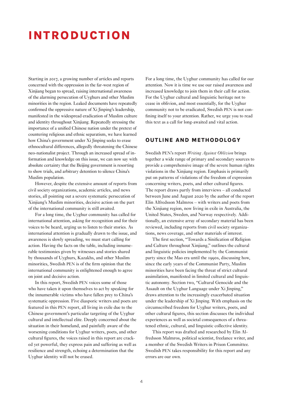# INTRODUCTION

Starting in 2017, a growing number of articles and reports concerned with the oppression in the far-west region of Xinjiang began to spread, raising international awareness of the alarming persecution of Uyghurs and other Muslim minorities in the region. Leaked documents have repeatedly confirmed the oppressive nature of Xi Jinping's leadership, manifested in the widespread eradication of Muslim culture and identity throughout Xinjiang. Repeatedly stressing the importance of a unified Chinese nation under the pretext of countering religious and ethnic separatism, we have learned how China's government under Xi Jinping seeks to erase ethnocultural differences, allegedly threatening the Chinese neo-nationalist project. Through an increased spread of information and knowledge on this issue, we can now say with absolute certainty that the Beijing government is resorting to show trials, and arbitrary detention to silence China's Muslim population.

However, despite the extensive amount of reports from civil society organizations, academic articles, and news stories, all pointing out a severe systematic persecution of Xinjiang's Muslim minorities, decisive action on the part of the international community is still awaited.

For a long time, the Uyghur community has called for international attention, asking for recognition and for their voices to be heard, urging us to listen to their stories. As international attention is gradually drawn to the issue, and awareness is slowly spreading, we must start calling for action. Having the facts on the table, including innumerable testimonies given by witnesses and stories shared by thousands of Uyghurs, Kazakhs, and other Muslim minorities, Swedish PEN is of the firm opinion that the international community is enlightened enough to agree on joint and decisive action.

In this report, Swedish PEN voices some of those who have taken it upon themselves to act by speaking for the innumerable victims who have fallen prey to China's systematic oppression. Five diasporic writers and poets are featured in this PEN report, all living in exile due to the Chinese government's particular targeting of the Uyghur cultural and intellectual elite. Deeply concerned about the situation in their homeland, and painfully aware of the worsening conditions for Uyghur writers, poets, and other cultural figures, the voices raised in this report are cracked yet powerful, they express pain and suffering as well as resilience and strength, echoing a determination that the Uyghur identity will not be erased.

For a long time, the Uyghur community has called for our attention. Now it is time we use our raised awareness and increased knowledge to join them in their call for action. For the Uyghur cultural and linguistic heritage not to cease in oblivion, and most essentially, for the Uyghur community not to be eradicated, Swedish PEN is not confining itself to your attention. Rather, we urge you to read this text as a call for long-awaited and vital action.

#### OUTLINE AND METHODOLOGY

Swedish PEN's report *Writing Against Oblivion* brings together a wide range of primary and secondary sources to provide a comprehensive image of the severe human rights violations in the Xinjiang region. Emphasis is primarily put on patterns of violations of the freedom of expression concerning writers, poets, and other cultural figures. The report draws partly from interviews – all conducted between June and August 2020 by the author of the report Elin Alfredsson Malmros – with writers and poets from the Xinjiang region, now living in exile in Australia, the United States, Sweden, and Norway respectively. Additionally, an extensive array of secondary material has been reviewed, including reports from civil society organizations, news coverage, and other materials of interest.

The first section, "Towards a Sinification of Religion and Culture throughout Xinjiang," outlines the cultural and linguistic policies implemented by the Communist party since the Mao era until the 1990s, discussing how, since the early years of the Communist Party, Muslim minorities have been facing the threat of strict cultural assimilation, manifested in limited cultural and linguistic autonomy. Section two, "Cultural Genocide and the Assault on the Uyghur Language under Xi Jinping," draws attention to the increasingly exacerbated situation under the leadership of Xi Jinping. With emphasis on the circumscribed freedom for Uyghur writers, poets, and other cultural figures, this section discusses the individual experiences as well as societal consequences of a threatened ethnic, cultural, and linguistic collective identity.

This report was drafted and researched by Elin Alfredsson Malmros, political scientist, freelance writer, and a member of the Swedish Writers in Prison Committee. Swedish PEN takes responsibility for this report and any errors are our own.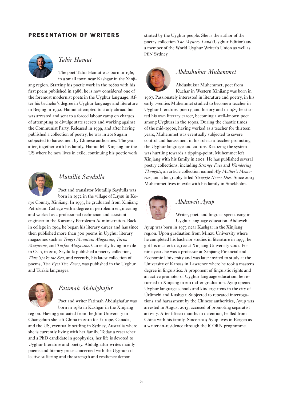#### PRESENTATION OF WRITERS



#### *Tahir Hamut*

The poet Tahir Hamut was born in 1969 in a small town near Kashgar in the Xinjiang region. Starting his poetic work in the 1980s with his first poem published in 1986, he is now considered one of the foremost modernist poets in the Uyghur language. After his bachelor's degree in Uyghur language and literature in Beijing in 1992, Hamut attempted to study abroad but was arrested and sent to a forced labour camp on charges of attempting to divulge state secrets and working against the Communist Party. Released in 1999, and after having published a collection of poetry, he was in 2016 again subjected to harassment by Chinese authorities. The year after, together with his family, Hamut left Xinjiang for the US where he now lives in exile, continuing his poetic work.



#### *Mutallip Saydulla*

Poet and translator Mutallip Saydulla was born in 1972 in the village of Laysu in Ke-

rye County, Xinjiang. In 1993, he graduated from Xinjiang Petroleum College with a degree in petroleum engineering and worked as a professional technician and assistant engineer in the Karamay Petroleum Administration. Back in college in 1994 he began his literary career and has since then published more than 300 poems in Uyghur literary magazines such as *Tengri Mountain Magazine*, *Tarim Magazine*, and *Turfan Magazine*. Currently living in exile in Oslo, in 2019 Saydulla published a poetry collection, *Thus Spoke the Sea*, and recently, his latest collection of poems, *Two Eyes Two Faces*, was published in the Uyghur and Turkic languages.



#### *Fatimah Abdulghafur*

Poet and writer Fatimah Abdulghafur was born in 1980 in Kashgar in the Xinjiang

region. Having graduated from the Jilin University in Changchun she left China in 2010 for Europe, Canada, and the US, eventually settling in Sydney, Australia where she is currently living with her family. Today a researcher and a PhD candidate in geophysics, her life is devoted to Uyghur literature and poetry. Abdulghafur writes mainly poems and literary prose concerned with the Uyghur collective suffering and the strength and resilience demonstrated by the Uyghur people. She is the author of the poetry collection *The Mystery Land* (Uyghur Edition) and a member of the World Uyghur Writer's Union as well as PEN Sydney.



#### *Abdushukur Muhemmet*

Abdushukur Muhemmet, poet from Kuchar in Western Xinjiang was born in 1967. Passionately interested in literature and poetry, in his early twenties Muhemmet studied to become a teacher in Uyghur literature, poetry, and history and in 1987 he started his own literary career, becoming a well-known poet among Uyghurs in the 1990s. During the chaotic times of the mid-1990s, having worked as a teacher for thirteen years, Muhemmet was eventually subjected to severe control and harassment in his role as a teacher promoting the Uyghur language and culture. Realizing the system was hurtling towards a tipping-point, Muhemmet left Xinjiang with his family in 2001. He has published several poetry collections, including *Strange Face* and *Wandering Thoughts*, an article collection named *My Mother's Memories*, and a biography titled *Struggle Never Dies*. Since 2003 Muhemmet lives in exile with his family in Stockholm.



#### *Abduweli Ayup*

Writer, poet, and linguist specialising in Uyghur language education, Abduweli

Ayup was born in 1973 near Kashgar in the Xinjiang region. Upon graduation from Minzu University where he completed his bachelor studies in literature in 1997, he got his master's degree at Xinjiang University 2001. For nine years he was a professor at Xinjiang Financial and Economic University and was later invited to study at the University of Kansas in Lawrence where he took a master's degree in linguistics. A proponent of linguistic rights and an active promoter of Uyghur language education, he returned to Xinjiang in 2011 after graduation. Ayup opened Uyghur language schools and kindergartens in the city of Ürümchi and Kashgar. Subjected to repeated interrogations and harassment by the Chinese authorities, Ayup was arrested in August 2013, accused of promoting separatist activity. After fifteen months in detention, he fled from China with his family. Since 2019 Ayup lives in Bergen as a writer-in-residence through the ICORN programme.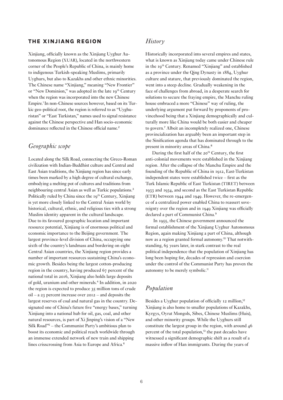#### THE XINJIANG REGION

Xinjiang, officially known as the Xinjiang Uyghur Autonomous Region (XUAR), located in the northwestern corner of the People's Republic of China, is mainly home to indigenous Turkish-speaking Muslims, primarily Uyghurs, but also to Kazakhs and other ethnic minorities. The Chinese name "Xinjiang," meaning "New Frontier" or "New Dominion," was adopted in the late 19<sup>th</sup> Century when the region was incorporated into the new Chinese Empire.<sup>1</sup> In non-Chinese sources however, based on its Turkic geo-political root, the region is referred to as "Uyghuristan" or "East Turkistan," names used to signal resistance against the Chinese perspective and Han socio-economic dominance reflected in the Chinese official name.<sup>2</sup>

#### *Geographic scope*

Located along the Silk Road, connecting the Greco-Roman civilization with Indian-Buddhist culture and Central and East Asian traditions, the Xinjiang region has since early times been marked by a high degree of cultural exchange, embodying a melting pot of cultures and traditions from neighbouring central Asian as well as Turkic populations.<sup>3</sup> Politically ruled by China since the 19<sup>th</sup> Century, Xinjiang is yet more closely linked to the Central Asian world by historical, cultural, ethnic, and religious ties with a strong Muslim identity apparent in the cultural landscape. Due to its favoured geographic location and important resource potential, Xinjiang is of enormous political and economic importance to the Beijing government. The largest province-level division of China, occupying one sixth of the country's landmass and bordering on eight Central Asian countries, the Xinjiang region provides a number of important resources sustaining China's economic growth. Besides being the largest cotton-producing region in the country, having produced 67 percent of the national total in 2016, Xinjiang also holds large deposits of gold, uranium and other minerals.<sup>4</sup> In addition, in 2020 the region is expected to produce 35 million tons of crude oil – a 23 percent increase over 2012 – and deposits the largest reserves of coal and natural gas in the country. Designated one of China's future five "energy bases," turning Xinjiang into a national hub for oil, gas, coal, and other natural resources, is part of Xi Jinping's vision of a "New Silk Road"<sup>5</sup> – the Communist Party's ambitious plan to boost its economic and political reach worldwide through an immense extended network of new train and shipping lines crisscrossing from Asia to Europe and Africa.<sup>6</sup>

#### *History*

Historically incorporated into several empires and states, what is known as Xinjiang today came under Chinese rule in the 19th Century. Renamed "Xinjiang" and established as a province under the Qing Dynasty in 1884, Uyghur culture and stature, that previously dominated the region, went into a steep decline. Gradually weakening in the face of challenges from abroad, in a desperate search for solutions to secure the fraying empire, the Manchu ruling house embraced a more "Chinese" way of ruling, the underlying argument put forward by proponents of provincehood being that a Xinjiang demographically and culturally more like China would be both easier and cheaper to govern.<sup>7</sup> Albeit an incompletely realized one, Chinese provincialization has arguably been an important step in the Sinification agenda that has dominated through to the present in minority areas of China.<sup>8</sup>

During the first half of the 20<sup>th</sup> Century, the first anti-colonial movements were established in the Xinjiang region. After the collapse of the Manchu Empire and the founding of the Republic of China in 1912, East-Turkistan independent states were established twice – first as the Turk Islamic Republic of East Turkistan (TIRET) between 1933 and 1934, and second as the East Turkistan Republic (ETR) between 1944 and 1949. However, the re-emergence of a centralized power enabled China to reassert sovereignty over the region and in 1949 Xinjiang was officially declared a part of Communist China.<sup>9</sup>

 In 1955, the Chinese government announced the formal establishment of the Xinjiang Uyghur Autonomous Region, again making Xinjiang a part of China, although now as a region granted formal autonomy.10 That notwithstanding, 65 years later, in stark contrast to the real political independence that the population of Xinjiang has long been hoping for, decades of repression and coercion under the control of the Communist Party has proven the autonomy to be merely symbolic.<sup>11</sup>

#### *Population*

Besides a Uyghur population of officially 12 million,<sup>12</sup> Xinjiang is also home to smaller populations of Kazakhs, Kyrgys, Oyrat Mongols, Sibes, Chinese Muslims (Huis), and other minority groups. While the Uyghurs still constitute the largest group in the region, with around 46 percent of the total population,<sup>13</sup> the past decades have witnessed a significant demographic shift as a result of a massive inflow of Han immigrants. During the years of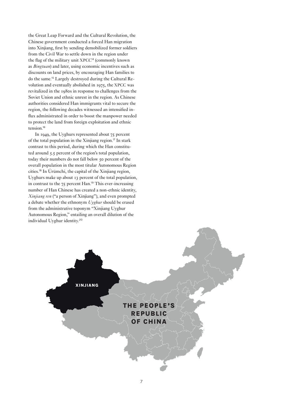the Great Leap Forward and the Cultural Revolution, the Chinese government conducted a forced Han migration into Xinjiang, first by sending demobilized former soldiers from the Civil War to settle down in the region under the flag of the military unit XPCC<sup>14</sup> (commonly known as *Bingtuan*) and later, using economic incentives such as discounts on land prices, by encouraging Han families to do the same.15 Largely destroyed during the Cultural Revolution and eventually abolished in 1975, the XPCC was revitalized in the 1980s in response to challenges from the Soviet Union and ethnic unrest in the region. As Chinese authorities considered Han immigrants vital to secure the region, the following decades witnessed an intensified influx administrated in order to boost the manpower needed to protect the land from foreign exploitation and ethnic tension.<sup>16</sup>

In 1949, the Uyghurs represented about 75 percent of the total population in the Xinjiang region.<sup>17</sup> In stark contrast to this period, during which the Han constituted around 5.5 percent of the region's total population, today their numbers do not fall below 50 percent of the overall population in the most titular Autonomous Region cities.<sup>18</sup> In Ürümchi, the capital of the Xinjiang region, Uyghurs make up about 13 percent of the total population, in contrast to the 75 percent Han.<sup>19</sup> This ever-increasing number of Han Chinese has created a non-ethnic identity, *Xinjiang ren* ("a person of Xinjiang"), and even prompted a debate whether the ethnonym *Uyghur* should be erased from the administrative toponym "Xinjiang Uyghur Autonomous Region," entailing an overall dilution of the individual Uyghur identity.<sup>20</sup>

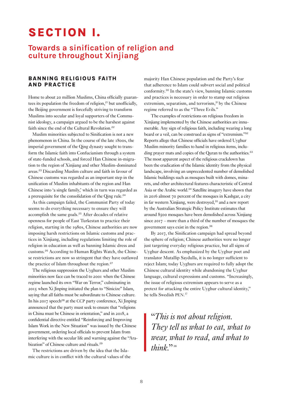# SECTION I.

### Towards a sinification of religion and culture throughout Xinjiang

#### BANNING RELIGIOUS FAITH AND PRACTICE

Home to about 20 million Muslims, China officially guarantees its population the freedom of religion,<sup>21</sup> but unofficially, the Beijing government is forcefully striving to transform Muslims into secular and loyal supporters of the Communist ideology, a campaign argued to be the harshest against faith since the end of the Cultural Revolution.<sup>22</sup>

Muslim minorities subjected to Sinification is not a new phenomenon in China. In the course of the late 1800s, the imperial government of the Qing dynasty sought to transform the Islamic faith into Confucianism through a system of state-funded schools, and forced Han Chinese in-migration to the region of Xinjiang and other Muslim-dominated areas.<sup>23</sup> Discarding Muslim culture and faith in favour of Chinese customs was regarded as an important step in the unification of Muslim inhabitants of the region and Han Chinese into 'a single family,' which in turn was regarded as a prerequisite for the consolidation of the Qing rule.<sup>24</sup>

As this campaign failed, the Communist Party of today seems to do everything necessary to ensure they will accomplish the same goals.<sup>25</sup> After decades of relative openness for people of East Turkestan to practice their religion, starting in the 1980s, Chinese authorities are now imposing harsh restrictions on Islamic customs and practices in Xinjiang, including regulations limiting the role of religion in education as well as banning Islamic dress and customs.26 According to Human Rights Watch, the Chinese restrictions are now so stringent that they have outlawed the practice of Islam throughout the region.<sup>27</sup>

The religious suppression the Uyghurs and other Muslim minorities now face can be traced to 2001 when the Chinese regime launched its own "War on Terror," culminating in 2015 when Xi Jinping initiated the plan to "Sinicize" Islam, saying that all faiths must be subordinate to Chinese culture. In his 2017 speech<sup>28</sup> at the CCP party conference,  $Xi$  Jinping announced that the party must seek to ensure that "religions in China must be Chinese in orientation," and in 2018, a confidential directive entitled "Reinforcing and Improving Islam Work in the New Situation" was issued by the Chinese government, ordering local officials to prevent Islam from interfering with the secular life and warning against the "Arabization" of Chinese culture and rituals.<sup>29</sup>

The restrictions are driven by the idea that the Islamic culture is in conflict with the cultural values of the

majority Han Chinese population and the Party's fear that adherence to Islam could subvert social and political conformity.<sup>30</sup> In the state's view, banning Islamic customs and practices is necessary in order to stamp out religious extremism, separatism, and terrorism,<sup>31</sup> by the Chinese regime referred to as the "Three Evils."

The examples of restrictions on religious freedom in Xinjiang implemented by the Chinese authorities are innumerable. Any sign of religious faith, including wearing a long beard or a veil, can be construed as signs of "extremism."<sup>32</sup> Reports allege that Chinese officials have ordered Uyghur Muslim minority families to hand in religious items, including prayer mats and copies of the Quran to the authorities.<sup>33</sup> The most apparent aspect of the religious crackdown has been the eradication of the Islamic identity from the physical landscape, involving an unprecedented number of demolished Islamic buildings such as mosques built with domes, minarets, and other architectural features characteristic of Central Asia or the Arabic world.<sup>34</sup> Satellite imagery have shown that in 2016 almost 70 percent of the mosques in Kashgar, a city in far western Xinjiang, were destroyed,<sup>35</sup> and a new report by the Australian Strategic Policy Institute estimates that around 8500 mosques have been demolished across Xinjiang since 2017 – more than a third of the number of mosques the government says exist in the region.<sup>36</sup>

By 2017, the Sinification campaign had spread beyond the sphere of religion; Chinese authorities were no longer just targeting everyday religious practice, but all signs of Uyghur descent. As emphasized by the Uyghur poet and translator Mutallip Saydulla, it is no longer sufficient to reject Islam; today Uyghurs are required to fully adopt the Chinese cultural identity while abandoning the Uyghur language, cultural expressions and customs. "Increasingly, the issue of religious extremism appears to serve as a pretext for attacking the entire Uyghur cultural identity," he tells Swedish PEN. 37

"*This is not about religion. They tell us what to eat, what to wear, what to read, and what to think*"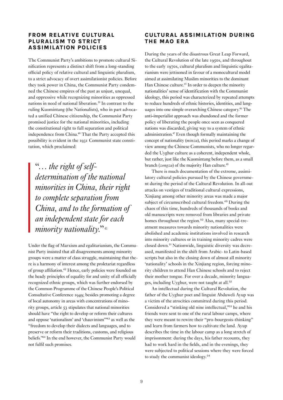#### FROM RELATIVE CULTURAL PLURALISM TO STRICT ASSIMILATION POLICIES

The Communist Party's ambitions to promote cultural Sinification represents a distinct shift from a long-standing official policy of relative cultural and linguistic pluralism, to a strict advocacy of overt assimilationist policies. Before they took power in China, the Communist Party condemned the Chinese empires of the past as unjust, unequal, and oppressive while recognizing minorities as oppressed nations in need of national liberation.39 In contrast to the ruling Kuomintang (the Nationalists), who in part advocated a unified Chinese citizenship, the Communist Party promised justice for the national minorities, including the constitutional right to full separation and political independence from China.<sup>40</sup> That the Party accepted this possibility is evident in the 1931 Communist state constitution, which proclaimed:

"… *the right of selfdetermination of the national minorities in China, their right to complete separation from China, and to the formation of an independent state for each minority nationality.*"

Under the flag of Marxism and egalitarianism, the Communist Party insisted that all disagreements among minority groups were a matter of class struggle, maintaining that there is a harmony of interest among the proletariat regardless of group affiliation.<sup>42</sup> Hence, early policies were founded on the heady principles of equality for and unity of all officially recognized ethnic groups, which was further endorsed by the Common Programme of the Chinese People's Political Consultative Conference 1949; besides promoting a degree of local autonomy in areas with concentrations of minority groups, article 53 stipulates that national minorities should have "the right to develop or reform their cultures and oppose 'nationalism' and 'chauvinism'"<sup>43</sup> as well as the "freedom to develop their dialects and languages, and to preserve or reform their traditions, customs, and religious beliefs."<sup>44</sup> In the end however, the Communist Party would not fulfil such promises.

#### CULTURAL ASSIMILATION DURING THE MAO ERA

During the years of the disastrous Great Leap Forward, the Cultural Revolution of the late 1950s, and throughout to the early 1970s, cultural pluralism and linguistic egalitarianism were jettisoned in favour of a monocultural model aimed at assimilating Muslim minorities to the dominant Han Chinese culture.<sup>45</sup> In order to deepen the minority nationalities' sense of identification with the Communist ideology, this period was characterized by repeated attempts to reduce hundreds of ethnic histories, identities, and languages into one simple overarching Chinese category.<sup>46</sup> The anti-imperialist approach was abandoned and the former policy of liberating the people once seen as conquered nations was discarded, giving way to a system of ethnic administration.47 Even though formally maintaining the concept of nationality (*minzu*), this period marks a change of view among the Chinese Communists, who no longer regarded the Uyghur culture as a coherent, independent whole, but rather, just like the Kuomintang before them, as a small branch (*zongzu*) of the majority Han culture.<sup>48</sup>

There is much documentation of the extreme, assimilatory cultural policies pursued by the Chinese government during the period of the Cultural Revolution. In all-out attacks on vestiges of traditional cultural expressions, Xinjiang among other minority areas was made a major subject of circumscribed cultural freedom.<sup>49</sup> During the chaos of this time, hundreds of thousands of books and old manuscripts were removed from libraries and private homes throughout the region.<sup>50</sup> Also, many special-treatment measures towards minority nationalities were abolished and academic institutions involved in research into minority cultures or in training minority cadres were closed down.51 Nationwide, linguistic diversity was decreased, manifested in the shift from Arabic- to Latin-based scripts but also in the closing down of almost all minority 'nationality' schools in the Xinjiang region, forcing minority children to attend Han Chinese schools and to reject their mother tongue. For over a decade, minority languages, including Uyghur, were not taught at all.<sup>52</sup>

An intellectual during the Cultural Revolution, the father of the Uyghur poet and linguist Abduweli Ayup was a victim of the atrocities committed during this period. Considered a "stinking old nine intellectual,"<sup>53</sup> he and his friends were sent to one of the rural labour camps, where they were meant to rewire their "pro-bourgeois-thinking" and learn from farmers how to cultivate the land. Ayup describes the time in the labour camp as a long stretch of imprisonment: during the days, his father recounts, they had to work hard in the fields, and in the evenings, they were subjected to political sessions where they were forced to study the communist ideology.54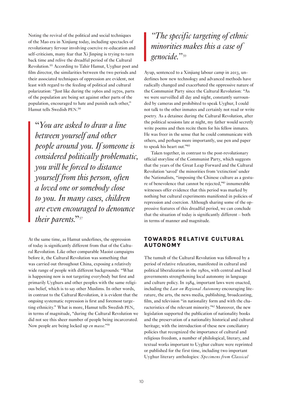Noting the revival of the political and social techniques of the Mao era in Xinjiang today, including spectacles of revolutionary fervour involving coercive re-education and self-criticism, many fear that Xi Jinping is trying to turn back time and relive the dreadful period of the Cultural Revolution.<sup>55</sup> According to Tahir Hamut, Uyghur poet and film director, the similarities between the two periods and their associated techniques of oppression are evident, not least with regard to the feeding of political and cultural polarization: "Just like during the 1960s and 1970s, parts of the population are being set against other parts of the population, encouraged to hate and punish each other," Hamut tells Swedish PEN. 56

"*You are asked to draw a line between yourself and other people around you. If someone is considered politically problematic, you will be forced to distance yourself from this person, often a loved one or somebody close to you. In many cases, children are even encouraged to denounce their parents.*"<sup>57</sup>

At the same time, as Hamut underlines, the oppression of today is significantly different from that of the Cultural Revolution. Like other comparable Maoist campaigns before it, the Cultural Revolution was something that was carried out throughout China, exposing a relatively wide range of people with different backgrounds: "What is happening now is not targeting everybody but first and primarily Uyghurs and other peoples with the same religious belief, which is to say other Muslims. In other words, in contrast to the Cultural Revolution, it is evident that the ongoing systematic repression is first and foremost targeting ethnicity." What is more, Hamut tells Swedish PEN, in terms of magnitude, "during the Cultural Revolution we did not see this sheer number of people being incarcerated. Now people are being locked up *en masse*."<sup>58</sup>

## *"The specific targeting of ethnic minorities makes this a case of genocide."*<sup>59</sup>

Ayup, sentenced to a Xinjiang labour camp in 2013, underlines how new technology and advanced methods have radically changed and exacerbated the oppressive nature of the Communist Party since the Cultural Revolution: "As we were surveilled all day and night, constantly surrounded by cameras and prohibited to speak Uyghur, I could not talk to the other inmates and certainly not read or write poetry. As a detainee during the Cultural Revolution, after the political sessions late at night, my father would secretly write poems and then recite them for his fellow inmates. He was freer in the sense that he could communicate with others, and perhaps more importantly, use pen and paper to speak his heart out."<sup>60</sup>

Taken together, in contrast to the post-revolutionary official storyline of the Communist Party, which suggests that the years of the Great Leap Forward and the Cultural Revolution 'saved' the minorities from 'extinction' under the Nationalists, "imposing the Chinese culture as a gesture of benevolence that cannot be rejected,"<sup>61</sup> innumerable witnesses offer evidence that this period was marked by nothing but cultural experiments manifested in policies of repression and coercion. Although sharing some of the oppressive features of this dreadful period, we can conclude that the situation of today is significantly different – both in terms of manner and magnitude.

#### TOWARDS RELATIVE CULTURAL AUTONOMY

The tumult of the Cultural Revolution was followed by a period of relative relaxation, manifested in cultural and political liberalization in the 1980s, with central and local governments strengthening local autonomy in language and culture policy. In 1984, important laws were enacted, including the *Law on Regional Autonomy* encouraging literature, the arts, the news media, publishing, broadcasting, film, and television "in nationality form and with the characteristics of the relevant minority."62 Moreover, the new legislation supported the publication of nationality books and the preservation of a nationality historical and cultural heritage; with the introduction of these new conciliatory policies that recognized the importance of cultural and religious freedom, a number of philological, literary, and textual works important to Uyghur culture were reprinted or published for the first time, including two important Uyghur literary anthologies: *Specimens from Classical*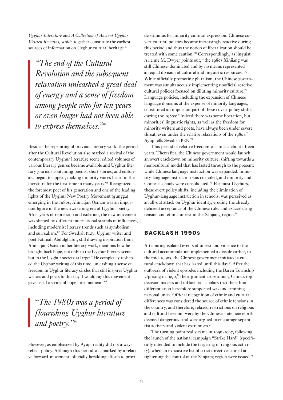*Uyghur Literature* and *A Collection of Ancient Uyghur Written Remains,* which together constitute the earliest sources of information on Uyghur cultural heritage.<sup>63</sup>

*"The end of the Cultural Revolution and the subsequent relaxation unleashed a great deal of energy and a sense of freedom among people who for ten years or even longer had not been able to express themselves."*<sup>64</sup>

Besides the reprinting of previous literary work, the period after the Cultural Revolution also marked a revival of the contemporary Uyghur literature scene: edited volumes of various literary genres became available and Uyghur literary journals containing poems, short stories, and editorials, began to appear, making minority voices heard in the literature for the first time in many years.<sup>65</sup> Recognized as the foremost poet of his generation and one of the leading lights of the Uyghur New Poetry Movement (gungga) emerging in the 1980s, Ahmatjan Osman was an important figure in the new awakening era of Uyghur poetry. After years of repression and isolation, the new movement was shaped by different international strands of influences, including modernist literary trends such as symbolism and surrealism.<sup>66</sup> For Swedish PEN, Uyghur writer and poet Fatimah Abdulghafur, still drawing inspiration from Ahmatjan Osman in her literary work, mentions how he brought back hope, not only to the Uyghur literary scene, but to the Uyghur society at large: "He completely reshaped the Uyghur writing of this time, unleashing a sense of freedom in Uyghur literacy circles that still inspires Uyghur writers and poets to this day. I would say this movement gave us all a string of hope for a moment."<sup>67</sup>

# "*The 1980s was a period of flourishing Uyghur literature and poetry."*<sup>68</sup>

However, as emphasized by Ayup, reality did not always reflect policy. Although this period was marked by a relative forward-movement, officially heralding efforts to provide stimulus for minority cultural expression, Chinese covert cultural policies became increasingly reactive during this period and thus the notion of liberalization should be treated with some caution.<sup>69</sup> Correspondingly, as linguist Arienne M. Dwyer points out, "the 1980s Xinjiang was still Chinese-dominated and by no means represented an equal division of cultural and linguistic resources."<sup>70</sup> While officially promoting pluralism, the Chinese government was simultaneously implementing unofficial reactive cultural policies focused on diluting minority culture.<sup>71</sup> Language policies, including the expansion of Chinese language domains at the expense of minority languages, constituted an important part of these covert policy shifts during the 1980s: "Indeed there was some liberation, but minorities' linguistic rights, as well as the freedom for minority writers and poets, have always been under severe threat, even under the relative relaxations of the 1080s." Ayup tells Swedish PEN. 72

This period of relative freedom was to last about fifteen years. Thereafter, the Chinese government would launch an overt crackdown on minority culture, shifting towards a monocultural model that has lasted through to the present: while Chinese language instruction was expanded, minority-language instruction was curtailed, and minority and Chinese schools were consolidated.<sup>73</sup> For most Uyghurs, these overt policy shifts, including the elimination of Uyghur-language instruction in schools, was perceived as an all-out attack on Uyghur identity, eroding the already deficient acceptance of the Chinese rule, and exacerbating tension and ethnic unrest in the Xinjiang region.<sup>74</sup>

#### BACKLASH 1990S

Attributing isolated events of unrest and violence to the cultural accommodation implemented a decade earlier, in the mid-1990s, the Chinese government initiated a cultural crackdown that has lasted until this day.<sup>75</sup> After the outbreak of violent episodes including the Baren Township Uprising in 1990,<sup>76</sup> the argument arose among China's top decision makers and influential scholars that the ethnic differentiation heretofore supported was undermining national unity. Official recognition of ethnic and cultural differences was considered the source of ethnic tensions in the country, and therefore, relaxed restrictions on religious and cultural freedom were by the Chinese state henceforth deemed dangerous, and were argued to encourage separatist activity and violent extremism.77

The turning point really came in 1996-1997, following the launch of the national campaign "Strike Hard" (specifically intended to include the targeting of religious activity), when an exhaustive list of strict directives aimed at tightening the control of the Xinjiang region were issued.78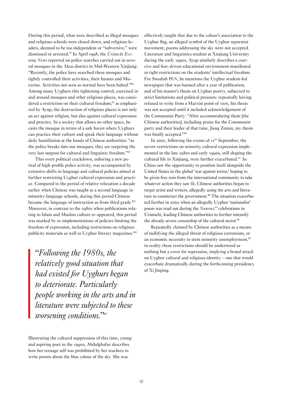During this period, what were described as illegal mosques and religious schools were closed down, and religious leaders, deemed to be too independent or "subversive," were dismissed or arrested.79 In April 1998, the *Ürümchi Evening News* reported on police searches carried out in several mosques in the Aksu district in Mid-Western Xinjiang: "Recently, the police have searched these mosques and tightly controlled their activities, their Imams and Muezzins. Activities not seen as normal have been halted."80 Among many Uyghurs this tightening control, exercised in and around mosques and other religious places, was considered a restriction on their cultural freedom;<sup>81</sup> as emphasized by Ayup, the destruction of religious places is not only an act against religion, but also against cultural expression and practice. In a society that allows no other space, he casts the mosque in terms of a safe haven where Uyghurs can practice their culture and speak their language without daily humiliation at the hands of Chinese authorities: "as the police breaks into our mosques, they are targeting the very last outpost for cultural and linguistic freedom."82

This overt political crackdown, ushering a new period of high-profile police activity, was accompanied by extensive shifts in language and cultural policies aimed at further restricting Uyghur cultural expression and practice. Compared to the period of relative relaxation a decade earlier when Chinese was taught as a second language in minority-language schools, during this period Chinese became the language of instruction as from third grade.<sup>83</sup> Moreover, in contrast to the 1980s when publications relating to Islam and Muslim culture re-appeared, this period was marked by re-implementations of policies limiting the freedom of expression, including restrictions on religious publicity materials as well as Uyghur literary magazines.<sup>84</sup>

"*Following the 1980s, the relatively good situation that had existed for Uyghurs began to deteriorate. Particularly people working in the arts and in literature were subjected to these worsening conditions.*"

Illustrating the cultural suppression of this time, young and aspiring poet in the 1990s, Abdulghafur describes how her teenage self was prohibited by her teachers to write poems about the blue colour of the sky. She was

effectively taught that due to the colour's association to the Uyghur flag, an alleged symbol of the Uyghur separatist movement, poems addressing the sky were not accepted. Literature and linguistics student at Xinjiang University during the early 1990s, Ayup similarly describes a coercive and fear-driven educational environment manifested in tight restrictions on the students' intellectual freedom. For Swedish PEN, he mentions the Uyghur student-led newspaper that was banned after a year of publication, and of his master's thesis on Uyghur poetry, subjected to strict limitations and political pressure: repeatedly having refused to write from a Marxist point of view, his thesis was not accepted until it included acknowledgement of the Communist Party: "After accommodating them [the Chinese authorities], including praise for the Communist party and their leader of that time, Jiang Zemin, my thesis was finally accepted."86

In 2001, following the events of  $II<sup>th</sup>$  September, the severe restrictions on minority cultural expression implemented in the late 1980s and early 1990s, still shaping the cultural life in Xinjiang, were further exacerbated.87 As China saw the opportunity to position itself alongside the United States in the global 'war against terror,' hoping to be given free rein from the international community to take whatever action they saw fit, Chinese authorities began to target artist and writers, allegedly using the arts and literature to counteract the government.<sup>88</sup> The situation exacerbated further in 2002 when an allegedly Uyghur 'nationalist' poem was read out during the *Nawruz<sup>89</sup>* celebrations in Ürümchi, leading Chinese authorities to further intensify the already severe censorship of the cultural sector.<sup>90</sup>

Repeatedly claimed by Chinese authorities as a means of nullifying the alleged threat of religious extremism, or an economic necessity to stem minority unemployment,<sup>91</sup> in reality these restrictions should be understood as nothing but a cover for repression, implying a brutal attack on Uyghur cultural and religious identity – one that would exacerbate dramatically during the forthcoming presidency of Xi Jinping.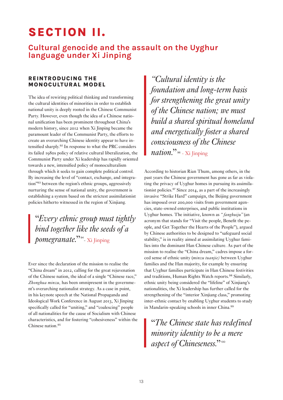# SECTION II.

### Cultural genocide and the assault on the Uyghur language under Xi Jinping

#### REINTRODUCING THE MONOCULTURAL MODEL

The idea of rewiring political thinking and transforming the cultural identities of minorities in order to establish national unity is deeply rooted in the Chinese Communist Party. However, even though the idea of a Chinese national unification has been prominent throughout China's modern history, since 2012 when Xi Jinping became the paramount leader of the Communist Party, the efforts to create an overarching Chinese identity appear to have intensified sharply.<sup>92</sup> In response to what the PRC considers its failed 1980s policy of relative cultural liberalization, the Communist Party under Xi leadership has rapidly oriented towards a new, intensified policy of monoculturalism through which it seeks to gain complete political control. By increasing the level of "contact, exchange, and integration"<sup>93</sup> between the region's ethnic groups, aggressively nurturing the sense of national unity, the government is establishing a system based on the strictest assimilationist policies hitherto witnessed in the region of Xinjiang.

"*Every ethnic group must tightly bind together like the seeds of a pomegranate.*"<sup>94</sup> - Xi Jinping

Ever since the declaration of the mission to realise the "China dream" in 2012, calling for the great rejuvenation of the Chinese nation, the ideal of a single "Chinese race," *Zhonghua minzu,* has been omnipresent in the government's overarching nationalist strategy. As a case in point, in his keynote speech at the National Propaganda and Ideological Work Conference in August 2013, Xi Jinping specifically called for "uniting," and "coalescing" people of all nationalities for the cause of Socialism with Chinese characteristics, and for fostering "cohesiveness" within the Chinese nation.<sup>95</sup>

*"Cultural identity is the foundation and long-term basis for strengthening the great unity of the Chinese nation; we must build a shared spiritual homeland and energetically foster a shared consciousness of the Chinese nation.*" <sup>96</sup> - Xi Jinping

According to historian Rian Thum, among others, in the past years the Chinese government has gone as far as violating the privacy of Uyghur homes in pursuing its assimilationist policies.<sup>97</sup> Since 2014, as a part of the increasingly invasive "Strike Hard" campaign, the Beijing government has imposed over 200,000 visits from government agencies, state-owned enterprises, and public institutions in Uyghur homes. The initiative, known as *" fanghuiju"* (an acronym that stands for "Visit the people, Benefit the people, and Get Together the Hearts of the People"), argued by Chinese authorities to be designed to "safeguard social stability," is in reality aimed at assimilating Uyghur families into the dominant Han Chinese culture. As part of the mission to realise the "China dream," cadres impose a forced sense of ethnic unity (*minzu tuanjie)* between Uyghur families and the Han majority, for example by ensuring that Uyghur families participate in Han Chinese festivities and traditions, Human Rights Watch reports.<sup>98</sup> Similarly, ethnic unity being considered the "lifeline" of Xinjiang's nationalities, the Xi leadership has further called for the strengthening of the "interior Xinjiang class," promoting inter-ethnic contact by enabling Uyghur students to study in Mandarin-speaking schools in inner China.<sup>99</sup>

"*The Chinese state has redefined minority identity to be a mere aspect of Chineseness.*"<sup>100</sup>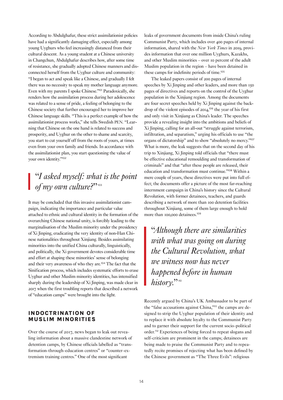According to Abdulghafur, these strict assimilationist policies have had a significantly damaging effect, especially among young Uyghurs who feel increasingly distanced from their cultural descent. As a young student at a Chinese university in Changchun, Abdulghafur describes how, after some time of resistance, she gradually adopted Chinese manners and disconnected herself from the Uyghur culture and community: "I began to act and speak like a Chinese, and gradually I felt there was no necessity to speak my mother language anymore. Even with my parents I spoke Chinese."<sup>101</sup> Paradoxically, she renders how the assimilation process during her adolescence was related to a sense of pride, a feeling of belonging to the Chinese society that further encouraged her to improve her Chinese language skills. "This is a perfect example of how the assimilationist process works," she tells Swedish PEN. "Learning that Chinese on the one hand is related to success and prosperity, and Uyghur on the other to shame and scarcity, you start to cut yourself off from the roots of yours, at times even from your own family and friends. In accordance with the assimilationist plan, you start questioning the value of your own identity."<sup>102</sup>

### "*I asked myself: what is the point of my own culture?*"

It may be concluded that this invasive assimilationist campaign, indicating the importance and particular value attached to ethnic and cultural identity in the formation of the overarching Chinese national unity, is forcibly leading to the marginalisation of the Muslim minority under the presidency of Xi Jinping, eradicating the very identity of non-Han Chinese nationalities throughout Xinjiang. Besides assimilating minorities into the unified China culturally, linguistically, and politically, the Xi government devotes considerable time and effort at shaping these minorities' sense of belonging and their very awareness of who they are.<sup>104</sup> The fact that the Sinification process, which includes systematic efforts to erase Uyghur and other Muslim minority identities, has intensified sharply during the leadership of Xi Jinping, was made clear in 2017 when the first troubling reports that described a network of "education camps" were brought into the light.

#### INDOCTRINATION OF MUSLIM MINORITIES

Over the course of 2017, news began to leak out revealing information about a massive clandestine network of detention camps, by Chinese officials labelled as "transformation-through-education centres" or "counter-extremism training centres." One of the most significant

leaks of government documents from inside China's ruling Communist Party, which includes over 400 pages of internal information, shared with the *New York Times* in 2019, provides information that over one million Uyghurs, Kazakhs, and other Muslim minorities – over 10 percent of the adult Muslim population in the region – have been detained in these camps for indefinite periods of time.<sup>105</sup>

The leaked papers consist of 200 pages of internal speeches by Xi Jinping and other leaders, and more than 150 pages of directives and reports on the control of the Uyghur population in the Xinjiang region. Among the documents are four secret speeches held by Xi Jinping against the backdrop of the violent episodes of 2014, <sup>106</sup> the year of his first and only visit in Xinjiang as China's leader. The speeches provide a revealing insight into the ambitions and beliefs of Xi Jinping, calling for an all-out "struggle against terrorism, infiltration, and separatism," urging his officials to use "the organs of dictatorship" and to show "absolutely no mercy."<sup>107</sup> What is more, the leak suggests that on the second day of his trip to Xinjiang, Xi Jinping told officials that "there must be effective educational remoulding and transformation of criminals" and that "after these people are released, their education and transformation must continue."<sup>108</sup> Within a mere couple of years, these directives were put into full effect; the documents offer a picture of the most far-reaching internment campaign in China's history since the Cultural Revolution, with former detainees, teachers, and guards describing a network of more than 100 detention facilities throughout Xinjiang, some of them large enough to hold more than 100,000 detainees.<sup>109</sup>

"*Although there are similarities with what was going on during the Cultural Revolution, what we witness now has never happened before in human history.*"

Recently argued by China's UK Ambassador to be part of the "false accusations against China,"111 the camps are designed to strip the Uyghur population of their identity and to replace it with absolute loyalty to the Communist Party and to garner their support for the current socio-political order.<sup>112</sup> Experiences of being forced to repeat slogans and self-criticism are prominent in the camps; detainees are being made to praise the Communist Party and to repeatedly recite promises of rejecting what has been defined by the Chinese government as "The Three Evils": religious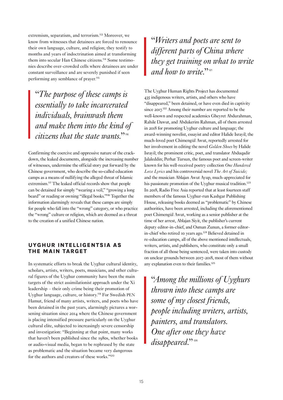extremism, separatism, and terrorism.<sup>113</sup> Moreover, we know from witnesses that detainees are forced to renounce their own language, culture, and religion; they testify to months and years of indoctrination aimed at transforming them into secular Han Chinese citizens.<sup>114</sup> Some testimonies describe over-crowded cells where detainees are under constant surveillance and are severely punished if seen performing any semblance of prayer.<sup>115</sup>

"*The purpose of these camps is essentially to take incarcerated individuals, brainwash them and make them into the kind of citizens that the state wants.*"<sup>116</sup>

Confirming the coercive and oppressive nature of the crackdown, the leaked documents, alongside the increasing number of witnesses, undermine the official story put forward by the Chinese government, who describe the so-called education camps as a means of nullifying the alleged threat of Islamic extremism.<sup>117</sup> The leaked official records show that people can be detained for simply "wearing a veil," "growing a long beard" or reading or owning "illegal books."<sup>118</sup> Together the information alarmingly reveals that these camps are simply for people who fall into the "wrong" category, or who practice the "wrong" culture or religion, which are deemed as a threat to the creation of a unified Chinese nation.

#### UYGHUR INTELLIGENTSIA AS THE MAIN TARGET

In systematic efforts to break the Uyghur cultural identity, scholars, artists, writers, poets, musicians, and other cultural figures of the Uyghur community have been the main targets of the strict assimilationist approach under the Xi leadership – their only crime being their promotion of Uyghur language, culture, or history.<sup>119</sup> For Swedish PEN Hamut, friend of many artists, writers, and poets who have been detained in the past years, alarmingly pictures a worsening situation since 2014 where the Chinese government is placing intensified pressure particularly on the Uyghur cultural elite, subjected to increasingly severe censorship and investigation: "Beginning at that point, many works that haven't been published since the 1980s, whether books or audio-visual media, began to be rephrased by the state as problematic and the situation became very dangerous for the authors and creators of these works."<sup>120</sup>

"*Writers and poets are sent to different parts of China where they get training on what to write and how to write.*"

The Uyghur Human Rights Project has documented 435 indigenous writers, artists, and others who have "disappeared," been detained, or have even died in captivity since 2017. <sup>122</sup> Among their number are reported to be the well-known and respected academics Gheyret Abdurahman, Rahile Dawut, and Abdukerim Rahman, all of them arrested in 2018 for promoting Uyghur culture and language; the award-winning novelist, essayist and editor Halide Israyil; the much-loved poet Chimengül Awut, reportedly arrested for her involvement in editing the novel *Golden Shoes* by Halide Israyil; the prominent critic, poet, and translator Abduqadir Jalaleddin; Perhat Tursun, the famous poet and screen-writer known for his well-received poetry collection *One Hundered Love Lyrics* and his controversial novel *The Art of Suicide;* and the musician Ablajan Awut Ayup, much-appreciated for his passionate promotion of the Uyghur musical tradition.<sup>123</sup> In 2018, Radio Free Asia reported that at least fourteen staff members of the famous Uyghur-run Kashgar Publishing House, releasing books deemed as "problematic" by Chinese authorities, have been arrested, including the aforementioned poet Chimengül Awut, working as a senior publisher at the time of her arrest, Ablajan Siyit, the publisher's current deputy editor-in-chief, and Osman Zunun, a former editorin-chief who retired 10 years ago.<sup>124</sup> Believed detained in re-education camps, all of the above mentioned intellectuals, writers, artists, and publishers, who constitute only a small fraction of all those being sentenced, were taken into custody on unclear grounds between 2017-2018, most of them without any explanation even to their families.<sup>125</sup>

"*Among the millions of Uyghurs thrown into these camps are some of my closest friends, people including writers, artists, painters, and translators. One after one they have disappeared.*"<sup>226</sup>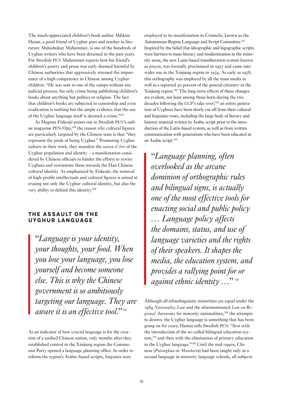The much-appreciated children's book author Ablikim Hasan, a good friend of Uyghur poet and teacher in literature Abdushukur Muhemmet, is one of the hundreds of Uyghur writers who have been detained in the past years. For Swedish PEN Muhemmet reports how his friend's children's poetry and prose was early deemed harmful by Chinese authorities that aggressively stressed the importance of a high competence in Chinese among Uyghur children: "He was sent to one of the camps without any judicial process, his only crime being publishing children's books about anything but politics or religion. The fact that children's books are subjected to censorship and even eradication is nothing but the ample evidence that the use of the Uyghur language itself is deemed a crime."<sup>127</sup>

As Magnus Fiskesjö points out in Swedish PEN's online magazine PEN*/Opp*, <sup>128</sup> the reason why cultural figures are particularly targeted by the Chinese state is that "they represent the pride of being Uyghur." Promoting Uyghur culture in their work, they manifest the *raison d'être* of the Uyghur population and identity – a manifestation considered by Chinese officials to hinder the efforts to rewire Uyghurs and reorientate them towards the Han Chinese cultural identity. As emphasized by Fiskesjö, the removal of high-profile intellectuals and cultural figures is aimed at erasing not only the Uyghur cultural identity, but also the very ability to defend this identity.<sup>129</sup>

#### THE ASSAULT ON THE UYGHUR LANGUAGE

"*Language is your identity, your thoughts, your food. When you lose your language, you lose yourself and become someone else. This is why the Chinese government is so ambitiously targeting our language. They are aware it is an effective tool.*"<sup>30</sup>

As an indicator of how crucial language is for the creation of a unified Chinese nation, only months after they established control in the Xinjiang region the Communist Party opened a language planning office. In order to reform the region's Arabic-based scripts, linguists were

employed to its manifestation in Ürümchi, known as the Autonomous Region Language and Script Committee.<sup>131</sup> Inspired by the belief that ideographic and logographic scripts were barriers to mass literacy and modernization in the minority areas, the new Latin-based transliteration system known as *pinyin*, was formally proclaimed in 1957 and came into wider use in the Xinjiang region in 1974. As early as 1978, this orthography was employed by all the mass media as well as a reported 50 percent of the general citizenry in the Xinjiang region.<sup>132</sup> The long-term effects of these changes are evident, not least among those born during the two decades following the CCP's take-over;133 an entire generation of Uyghurs have been slowly cut off from their cultural and linguistic roots, including the large body of literary and historic material written in Arabic script prior to the introduction of the Latin-based system, as well as from written communication with generations who have been educated in an Arabic script.<sup>134</sup>

"*Language planning, often overlooked as the arcane dominion of orthographic rules and bilingual signs, is actually one of the most effective tools for enacting social and public policy … Language policy affects the domains, status, and use of language varieties and the rights of their speakers. It shapes the media, the education system, and provides a rallying point for or against ethnic identity* ..."<sup>35</sup>

Although all ethnolinguistic minorities are equal under the 1984 *Nationality Law* and the aforementioned *Law on Regional Autonomy* for minority nationalities,<sup>136</sup> the attempts to destroy the Uyghur language is something that has been going on for years, Hamut tells Swedish PEN: "first with the introduction of the so-called bilingual education system,<sup>137</sup> and then with the elimination of primary education in the Uyghur language."138 Until the mid-1990s, Chinese (*Putonghua* or *Mandarin*) had been taught only as a second language in minority language schools, all subjects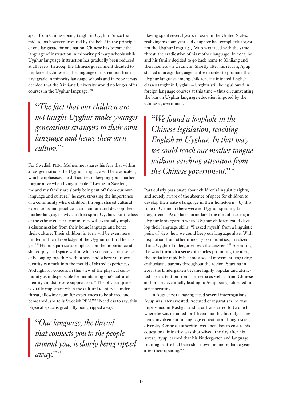apart from Chinese being taught in Uyghur. Since the mid-1990s however, inspired by the belief in the principle of one language for one nation, Chinese has become the language of instruction in minority primary schools while Uyghur language instruction has gradually been reduced at all levels. In 2004, the Chinese government decided to implement Chinese as the language of instruction from first grade in minority language schools and in 2002 it was decided that the Xinjiang University would no longer offer courses in the Uyghur language.<sup>139</sup>

"*The fact that our children are not taught Uyghur make younger generations strangers to their own language and hence their own culture*<sup>22</sup><sup>140</sup>

For Swedish PEN, Muhemmet shares his fear that within a few generations the Uyghur language will be eradicated, which emphasises the difficulties of keeping your mother tongue alive when living in exile: "Living in Sweden, me and my family are slowly being cut off from our own language and culture," he says, stressing the importance of a community where children through shared cultural expressions and practices can maintain and develop their mother language: "My children speak Uyghur, but the loss of the ethnic cultural community will eventually imply a disconnection from their home language and hence their culture. Their children in turn will be even more limited in their knowledge of the Uyghur cultural heritage."<sup>141</sup> He puts particular emphasis on the importance of a shared physical space within which you can share a sense of belonging together with others, and where your own identity can melt into the mould of shared experiences. Abdulghafur concurs in this view of the physical community as indispensable for maintaining one's cultural identity amidst severe suppression: "The physical place is vitally important when the cultural identity is under threat, allowing room for experiences to be shared and bemoaned, she tells Swedish PEN."<sup>142</sup> Needless to say, this physical space is gradually being ripped away.

"*Our language, the thread that connects you to the people around you, is slowly being ripped*  amay<sup>22</sup><sup>143</sup>

Having spent several years in exile in the United States, realizing his four-year-old daughter had completely forgotten the Uyghur language, Ayup was faced with the same threat: the eradication of his mother language. In 2011, he and his family decided to go back home to Xinjiang and their hometown Ürümchi. Shortly after his return, Ayup started a foreign language centre in order to promote the Uyghur language among children. He initiated English classes taught in Uyghur – Uyghur still being allowed in foreign language courses at this time – thus circumventing the ban on Uyghur language education imposed by the Chinese government.

"*We found a loophole in the Chinese legislation, teaching English in Uyghur. In that way we could teach our mother tongue without catching attention from the Chinese government.*"

Particularly passionate about children's linguistic rights, and acutely aware of the absence of space for children to develop their native language in their hometown – by this time in Ürümchi there were no Uyghur speaking kindergartens – Ayup later formulated the idea of starting a Uyghur kindergarten where Uyghur children could develop their language skills: "I asked myself, from a linguistic point of view, how we could keep our language alive. With inspiration from other minority communities, I realized that a Uyghur kindergarten was the answer."<sup>145</sup> Spreading the word through a series of articles promoting the idea, the initiative rapidly became a social movement, engaging enthusiastic parents throughout the region. Starting in 2011, the kindergarten became highly popular and attracted close attention from the media as well as from Chinese authorities, eventually leading to Ayup being subjected to strict scrutiny.

In August 2011, having faced several interrogations, Ayup was later arrested. Accused of separatism, he was imprisoned in Kashgar and later transferred to Ürümchi where he was detained for fifteen months, his only crime being involvement in language education and linguistic diversity. Chinese authorities were not slow to ensure his educational initiative was short-lived: the day after his arrest, Ayup learned that his kindergarten and language training centre had been shut down, no more than a year after their opening.<sup>146</sup>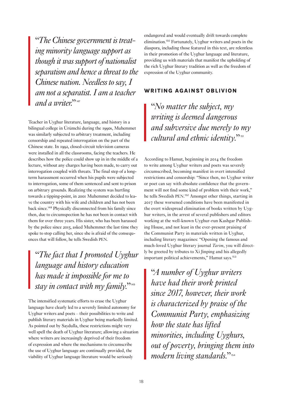"*The Chinese government is treating minority language support as though it was support of nationalist separatism and hence a threat to the Chinese nation. Needless to say, I am not a separatist. I am a teacher and a writer.*"

Teacher in Uyghur literature, language, and history in a bilingual college in Ürümchi during the 1990s, Muhemmet was similarly subjected to arbitrary treatment, including censorship and repeated interrogation on the part of the Chinese state. In 1992, closed-circuit television cameras were installed in all the classrooms, facing the teachers. He describes how the police could show up in in the middle of a lecture, without any charges having been made, to carry out interrogation coupled with threats. The final step of a longterm harassment occurred when his pupils were subjected to interrogation, some of them sentenced and sent to prison on arbitrary grounds. Realizing the system was hurtling towards a tipping-point, in 2001 Muhemmet decided to leave the country with his wife and children and has not been back since.<sup>148</sup> Physically disconnected from his family since then, due to circumspection he has not been in contact with them for over three years. His sister, who has been harassed by the police since 2015, asked Muhemmet the last time they spoke to stop calling her, since she is afraid of the consequences that will follow, he tells Swedish PEN.

"*The fact that I promoted Uyghur language and history education has made it impossible for me to*  stay in contact with my family."<sup>149</sup>

The intensified systematic efforts to erase the Uyghur language have clearly led to a severely limited autonomy for Uyghur writers and poets – their possibilities to write and publish literary materials in Uyghur being markedly limited. As pointed out by Saydulla, these restrictions might very well spell the death of Uyghur literature; allowing a situation where writers are increasingly deprived of their freedom of expression and where the mechanisms to circumscribe the use of Uyghur language are continually provided, the viability of Uyghur language literature would be seriously

endangered and would eventually drift towards complete elimination.<sup>150</sup> Fortunately, Uyghur writers and poets in the diaspora, including those featured in this text, are relentless in their promotion of the Uyghur language and literature, providing us with materials that manifest the upholding of the rich Uyghur literary tradition as well as the freedom of expression of the Uyghur community.

#### WRITING AGAINST OBLIVION

"*No matter the subject, my writing is deemed dangerous and subversive due merely to my cultural and ethnic identity.*"<sup>151</sup>

According to Hamut, beginning in 2014 the freedom to write among Uyghur writers and poets was severely circumscribed, becoming manifest in overt intensified restrictions and censorship: "Since then, no Uyghur writer or poet can say with absolute confidence that the government will not find some kind of problem with their work," he tells Swedish PEN. <sup>152</sup> Amongst other things, starting in 2017 these worsened conditions have been manifested in the overt widespread elimination of books written by Uyghur writers, in the arrest of several publishers and editors working at the well-known Uyghur-run Kashgar Publishing House, and not least in the ever-present praising of the Communist Party in materials written in Uyghur, including literary magazines: "Opening the famous and much-loved Uyghur literary journal *Tarim*, you will directly be greeted by tributes to Xi Jinping and his allegedly important political achievements," Hamut says.<sup>153</sup>

"*A number of Uyghur writers have had their work printed since 2017, however, their work is characterized by praise of the Communist Party, emphasizing how the state has lifted minorities, including Uyghurs, out of poverty, bringing them into modern living standards.*"154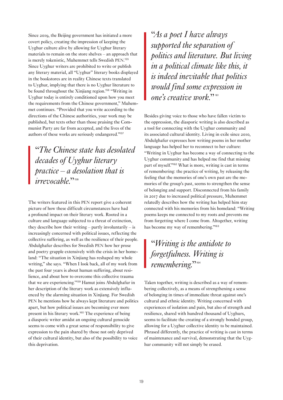Since 2019, the Beijing government has initiated a more covert policy, creating the impression of keeping the Uyghur culture alive by allowing for Uyghur literary materials to remain on the store shelves – an approach that is merely tokenistic, Muhemmet tells Swedish PEN. 155 Since Uyghur writers are prohibited to write or publish any literary material, all "Uyghur" literary books displayed in the bookstores are in reality Chinese texts translated to Uyghur, implying that there is no Uyghur literature to be found throughout the Xinjiang region.<sup>156</sup> "Writing in Uyghur today is entirely conditioned upon how you meet the requirements from the Chinese government," Muhemmet continues. "Provided that you write according to the directions of the Chinese authorities, your work may be published, but texts other than those praising the Communist Party are far from accepted, and the lives of the authors of these works are seriously endangered."<sup>157</sup>

"*The Chinese state has desolated decades of Uyghur literary practice – a desolation that is irrevocable.*"<sup>158</sup>

The writers featured in this PEN report give a coherent picture of how these difficult circumstances have had a profound impact on their literary work. Rooted in a culture and language subjected to a threat of extinction, they describe how their writing – partly involuntarily – is increasingly concerned with political issues, reflecting the collective suffering, as well as the resilience of their people. Abdulghafur describes for Swedish PEN how her prose and poetry grapple extensively with the crisis in her homeland: "The situation in Xinjiang has reshaped my whole writing," she says. "When I look back, all of my work from the past four years is about human suffering, about resilience, and about how to overcome this collective trauma that we are experiencing."<sup>159</sup> Hamut joins Abdulghafur in her description of the literary work as extensively influenced by the alarming situation in Xinjiang. For Swedish PEN he mentions how he always kept literature and politics apart, but how political issues are becoming ever more present in his literary work.<sup>160</sup> The experience of being a diasporic writer amidst an ongoing cultural genocide seems to come with a great sense of responsibility to give expression to the pain shared by those not only deprived of their cultural identity, but also of the possibility to voice this deprivation.

"*As a poet I have always supported the separation of politics and literature. But living in a political climate like this, it is indeed inevitable that politics would find some expression in one's creative work.*"

Besides giving voice to those who have fallen victim to the oppression, the diasporic writing is also described as a tool for connecting with the Uyghur community and its associated cultural identity. Living in exile since 2010, Abdulghafur expresses how writing poems in her mother language has helped her to reconnect to her culture: "Writing in Uyghur has become a way of connecting to the Uyghur community and has helped me find that missing part of myself."<sup>162</sup> What is more, writing is cast in terms of remembering: the practice of writing, by releasing the feeling that the memories of one's own past are the memories of the group's past, seems to strengthen the sense of belonging and support. Disconnected from his family in 2017 due to increased political pressure, Muhemmet relatedly describes how the writing has helped him stay connected with his memories from his homeland: "Writing poems keeps me connected to my roots and prevents me from forgetting where I come from. Altogether, writing has become my way of remembering."<sup>163</sup>

# "*Writing is the antidote to forgetfulness. Writing is remembering.*"<sup>164</sup>

Taken together, writing is described as a way of remembering collectively, as a means of strengthening a sense of belonging in times of immediate threat against one's cultural and ethnic identity. Writing concerned with experiences of isolation and pain, but also of strength and resilience, shared with hundred thousand of Uyghurs, seems to facilitate the creating of a strongly bonded group, allowing for a Uyghur collective identity to be maintained. Phrased differently, the practice of writing is cast in terms of maintenance and survival, demonstrating that the Uyghur community will not simply be erased.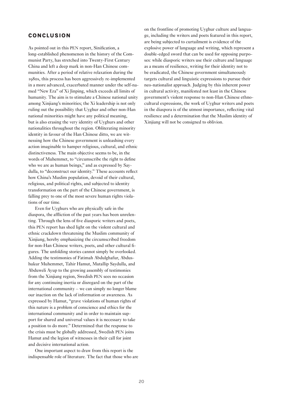#### CONCLUSION

As pointed out in this PEN report, Sinification, a long-established phenomenon in the history of the Communist Party, has stretched into Twenty-First Century China and left a deep mark in non-Han Chinese communities. After a period of relative relaxation during the 1980s, this process has been aggressively re-implemented in a more advanced, exacerbated manner under the self-named "New Era" of Xi Jinping, which exceeds all limits of humanity. The aim is to stimulate a Chinese national unity among Xinjiang's minorities; the Xi leadership is not only ruling out the possibility that Uyghur and other non-Han national minorities might have any political meaning, but is also erasing the very identity of Uyghurs and other nationalities throughout the region. Obliterating minority identity in favour of the Han Chinese ditto, we are witnessing how the Chinese government is unleashing every action imaginable to hamper religious, cultural, and ethnic distinctiveness. The main objective seems to be, in the words of Muhemmet, to "circumscribe the right to define who we are as human beings," and as expressed by Saydulla, to "deconstruct our identity." These accounts reflect how China's Muslim population, devoid of their cultural, religious, and political rights, and subjected to identity transformation on the part of the Chinese government, is falling prey to one of the most severe human rights violations of our time.

Even for Uyghurs who are physically safe in the diaspora, the affliction of the past years has been unrelenting. Through the lens of five diasporic writers and poets, this PEN report has shed light on the violent cultural and ethnic crackdown threatening the Muslim community of Xinjiang, hereby emphasizing the circumscribed freedom for non-Han Chinese writers, poets, and other cultural figures. The unfolding stories cannot simply be overlooked. Adding the testimonies of Fatimah Abdulghafur, Abdushukur Muhemmet, Tahir Hamut, Mutallip Saydulla, and Abduweli Ayup to the growing assembly of testimonies from the Xinjiang region, Swedish PEN sees no occasion for any continuing inertia or disregard on the part of the international community – we can simply no longer blame our inaction on the lack of information or awareness. As expressed by Hamut, "grave violations of human rights of this nature is a problem of conscience and ethics for the international community and in order to maintain support for shared and universal values it is necessary to take a position to do more." Determined that the response to the crisis must be globally addressed, Swedish PEN joins Hamut and the legion of witnesses in their call for joint and decisive international action.

One important aspect to draw from this report is the indispensable role of literature. The fact that those who are on the frontline of promoting Uyghur culture and language, including the writers and poets featured in this report, are being subjected to curtailment is evidence of the explosive power of language and writing, which represent a double-edged sword that can be used for opposing purposes: while diasporic writers use their culture and language as a means of resilience, writing for their identity not to be eradicated, the Chinese government simultaneously targets cultural and linguistic expressions to pursue their neo-nationalist approach. Judging by this inherent power in cultural activity, manifested not least in the Chinese government's violent response to non-Han Chinese ethnocultural expressions, the work of Uyghur writers and poets in the diaspora is of the utmost importance, reflecting vital resilience and a determination that the Muslim identity of Xinjiang will not be consigned to oblivion.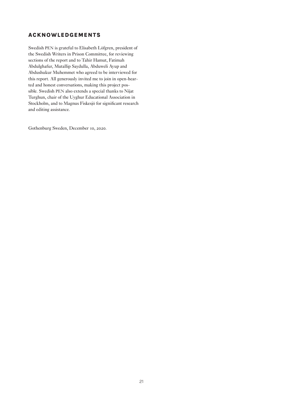#### ACKNOWLEDGEMENTS

Swedish PEN is grateful to Elisabeth Löfgren, president of the Swedish Writers in Prison Committee, for reviewing sections of the report and to Tahir Hamut, Fatimah Abdulghafur, Mutallip Saydulla, Abduweli Ayup and Abdushukur Muhemmet who agreed to be interviewed for this report. All generously invited me to join in open-hearted and honest conversations, making this project possible. Swedish PEN also extends a special thanks to Nijat Turghun, chair of the Uyghur Educational Association in Stockholm, and to Magnus Fiskesjö for significant research and editing assistance.

Gothenburg Sweden, December 10, 2020.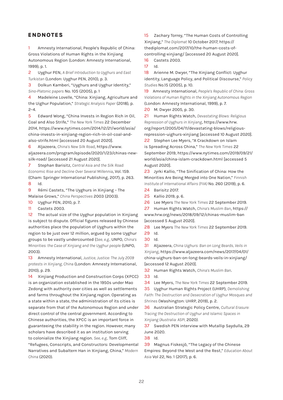#### ENDNOTES

1 Amnesty International, People's Republic of China: Gross Violations of Human Rights in the Xinjiang Autonomous Region (London: Amnesty International, 1999), p. 1.

2 Uyghur PEN, *A Brief Introduction to Uyghurs and East Turkistan* (London: Uyghur PEN, 2010), p. 3.

3 Dolkun Kamberi, "Uyghurs and Uyghur Identity," *Sino-Platonic papers* No. 105 (2005), p. 1

4 Madeleine Lovelle, "China: Xinjiang, Agriculture and the Uighur Population," *Strategic Analysis Paper* (2018), p.  $2 - 4.$ 

5 Edward Wong, "China Invests in Region Rich in Oil, Coal and Also Strife," *The New York Times* 22 December 2014, https://www.nytimes.com/2014/12/21/world/asia/ china-invests-in-xinjiang-region-rich-in-oil-coal-andalso-strife.html [accessed 20 August 2020].

6 Aljazeera, *China's New Silk Road*, https://www. aljazeera.com/program/episode/2020/1/23/chinas-newsilk-road/ [accessed 21 August 2020].

7 Stephan Barisitz, *Central Asia and the Silk Road: Economic Rise and Decline Over Several Millennia*, Vol. 159. (Cham: Springer International Publishing, 2017), p. 263. 8 Id.

9 Rémi Castets, "The Uyghurs in Xinjiang – The Malaise Grows," *China Perspectives* 2003 (2003).

10 Uyghur PEN, 2010, p. 7.

11 Castets 2003.

12 The actual size of the Uyghur population in Xinjiang is subject to dispute. Official figures released by Chinese authorities place the population of Uyghurs within the region to be just over 12 million, argued by some Uyghur groups to be vastly undercounted (*See, e.g.,* UNPO, *China's Minorities: the Case of Xinjiang and the Uyghur people* (UNPO, 2003).

13 Amnesty International, *Justice, Justice: The July 2009 protests in Xinjiang, China* (London: Amnesty International, 2010), p. 29.

14 Xinjiang Production and Construction Corps (XPCC) is an organization established in the 1950s under Mao Zedong with authority over cities as well as settlements and farms throughout the Xinjiang region. Operating as a state within a state, the administration of its cities is separate from that of the Autonomous Region and under direct control of the central government. According to Chinese authorities, the XPCC is an important force in guaranteeing the stability in the region. However, many scholars have described it as an institution serving to colonialize the Xinjiang region. *See, e.g.,* Tom Cliff, "Refugees, Conscripts, and Constructors: Developmental Narratives and Subaltern Han in Xinjiang, China," *Modern China* (2020).

15 Zachary Torrey, "The Human Costs of Controlling Xinjiang," *The Diplomat* 10 October 2017, https:// thediplomat.com/2017/10/the-human-costs-ofcontrolling-xinjiang/ [accessed 20 August 2020].

16 Castets 2003.

17 Id.

18 Arienne M. Dwyer, "The Xinjiang Conflict: Uyghur identity, Language Policy, and Political Discourse," *Policy Studies* No.15 (2005), p. 10.

19 Amnesty International, *People's Republic of China: Gross Violations of Human Rights in the Xinjiang Autonomous Region* (London: Amnesty International, 1999), p. 7.

20 M. Dwyer 2005, p. 30.

21 Human Rights Watch, *Devastating Blows: Religious Repression of Uyghurs in Xinjiang*, https://www.hrw. org/report/2005/04/11/devastating-blows/religiousrepression-uighurs-xinjiang [accessed 10 August 2020]. 22 Stephen Lee Myers, "A Crackdown on Islam is Spreading Across China," *The New York Times* 22 September 2019, https://www.nytimes.com/2019/09/21/ world/asia/china-islam-crackdown.html [accessed 5 August 2020].

23 Jyrki Kallio, "The Sinification of China: How the Minorities Are Being Merged into One Nation," *Finnish Institute of International Affairs (FIIA)* No. 260 (2019), p. 6.

24 Barisitz 2017.

25 Kallio 2019, p. 6.

26 Lee Myers *The New York Times* 22 September 2019.

27 Human Rights Watch, *China's Muslim Ban*, https:// www.hrw.org/news/2018/09/12/chinas-muslim-ban [accessed 5 August 2020].

28 Lee Myers *The New York Times* 22 September 2019. 29 Id.

30 Id.

31 Aljazeera, *China Uighurs: Ban on Long Beards, Veils in Xinjiang*, https://www.aljazeera.com/news/2017/04/01/ china-uighurs-ban-on-long-beards-veils-in-xinjiang/ [accessed 12 August 2020].

32 Human Rights Watch, *China's Muslim Ban*. 33 Id.

34 Lee Myers, *The New York Times* 22 September 2019.

35 Uyghur Human Rights Project (UHRP), *Demolishing Faith: The Destruction and Desecration of Uyghur Mosques and Shrines* (Washington: UHRP, 2019), p. 2.

36 Australian Strategic Policy Centre, *Cultural Erasure: Tracing the Destruction of Uyghur and Islamic Spaces in Xinjiang (Australia: ASPI,* 2020*).* 

37 Swedish PEN interview with Mutallip Saydulla, 29 June 2020.

38 Id.

39 Magnus Fiskesjö, "The Legacy of the Chinese Empires: Beyond the West and the Rest," *Education About Asia* Vol 22, No. 1 (2017), p. 6.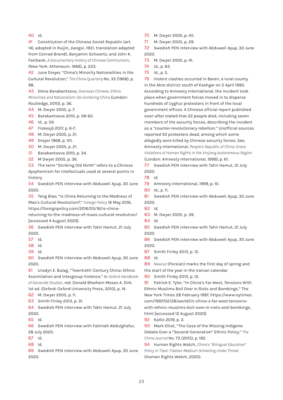40 Id.

41 Constitution of the Chinese Soviet Republic (art. 14), adopted in Ruijin, Jiangxi, 1931, translation adapted from Conrad Brandt, Benjamin Schwartz, and John K. Fairbank, *A Documentary History of Chinese Communism*, (New York: Atheneum, 1966), p. 223.

42 June Dreyer, "China's Minority Nationalities in the Cultural Revolution," *The China Quarterly* No. 35 (1968). p. 98.

43 Elena Barabantseva, *Overseas Chinese, Ethnic Minorities and Nationalism: De-Centering China* (London: Routledge, 2010), p. 36.

44 M. Dwyer 2005, p. 7.

45 Barabantseva 2010, p. 58-62.

46 Id., p. 59.

47 Fiskesjö 2017, p. 6-7.

48 M. Dwyer 2005, p. 21.

- 49 Dreyer 1968, p. 101.
- 50 M. Dwyer 2005, p. 21.
- 51 Barabantseva 2010, p. 34.
- 52 M Dwyer 2005, p. 36.

53 The term "Stinking Old Ninth" refers to a Chinese

dysphemism for intellectuals used at several points in history.

54 Swedish PEN interview with Abduweli Ayup, 30 June 2020.

55 Teng Biao, "Is China Returning to the Madness of Mao's Cultural Revolution?," *Foreign Policy* 16 May 2016, https://foreignpolicy.com/2016/05/16/is-china-

returning-to-the-madness-of-maos-cultural-revolution/ [accessed 4 August 2020].

56 Swedish PEN interview with Tahir Hamut, 21 July 2020.

- 57 Id.
- 58 Id.
- 59 Id.

60 Swedish PEN interview with Abduweli Ayup, 30 June 2020.

61 Uradyn E. Bulag, "Twentieth<sup>X</sup>Century China: Ethnic Assimilation and Intergroup Violence," in *Oxford Handbook of Genocide Studies*, red. Donald Bloxham Moses A. Dirk. 1st ed. (Oxford: Oxford University Press, 2010), p. 14.

62 M. Dwyer 2005, p. 11.

63 Smith Finley 2013, p. 31.

64 Swedish PEN interview with Tahir Hamut, 21 July 2020.

65 Id.

66 Swedish PEN interview with Fatimah Abdulghafur, 28 July 2020.

- 67 Id.
- 68 Id.

69 Swedish PEN interview with Abduweli Ayup, 30 June 2020.

- 70 M. Dwyer 2005, p. 45.
- 71 M. Dwyer 2005, p. 29.

72 Swedish PEN interview with Abduweli Ayup, 30 June 2020.

- 73 M. Dwyer 2005, p. 41.
- 74 Id., p. 63.
- 75 Id., p. 5.

76 Violent clashes occurred in Baren, a rural county in the Akto district south of Kashgar on 5 April 1990. According to Amnesty International, the incident took place when government forces moved in to disperse hundreds of Uyghur protesters in front of the local government offices. A Chinese official report published soon after stated that 22 people died, including seven members of the security forces, describing the incident as a "counter-revolutionary rebellion." Unofficial sources reported 50 protesters dead, among which some allegedly were killed by Chinese security forces. See, Amnesty International, *People's Republic of China: Gross Violations of Human Rights in the Xinjiang Autonomous Region*  (London: Amnesty International, 1999), p. 61.

77 Swedish PEN interview with Tahir Hamut, 21 July 2020.

78 Id.

79 Amnesty International, 1999, p. 10.

80 Id., p. 11.

81 Swedish PEN interview with Abduweli Ayup, 30 June 2020.

- 82 Id.
- 83 M. Dwyer 2005, p. 39.
- 84 Id.

85 Swedish PEN interview with Tahir Hamut, 21 July 2020.

86 Swedish PEN interview with Abduweli Ayup, 30 June 2020.

- 87 Smith Finley 2013, p. 12.
- 88 Id.

89 *Nawruz* (Persian) marks the first day of spring and the start of the year in the Iranian calendar.

90 Smith Finley 2013, p. 12.

91 Patrick E. Tyler, "In China's Far West, Tensions With Ethnic Muslims Boil Over in Riots and Bombings," The New York Times 28 February 1997, https://www.nytimes. com/1997/02/28/world/in-china-s-far-west-tensionswith-ethnic-muslims-boil-over-in-riots-and-bombings. html [accessed 12 August 2020].

92 Kallio 2019, p. 3.

93 Mark Elliot, "The Case of the Missing Indigene: Debate Over a "Second-Generation" Ethnic Policy," *The China Journal* No. 73 (2015), p. 192.

94 Human Rights Watch, *China's "Bilingual Education" Policy in Tibet: Tibetan-Medium Schooling Under Threat* (Human Rights Watch, 2020).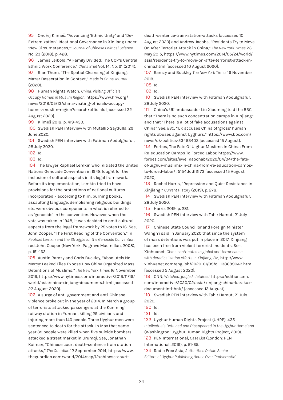95 Ondřej Klimeš, "Advancing 'Ethnic Unity' and 'De-Extremization': Ideational Governance in Xinjiang under 'New Circumstances,'" *Journal of Chinese Political Science*  No. 23 (2018), p. 428.

96 James Leibold, "A Family Divided: The CCP's Central Ethnic Work Conference," *China Brief* Vol. 14, No. 21 (2014). 97 Rian Thum, "The Spatial Cleansing of Xinjiang: Mazar Desecration in Context," *Made in China Journal*  (2020).

98 Human Rights Watch, *China: Visiting Officials Occupy Homes in Muslim Region*, https://www.hrw.org/ news/2018/05/13/china-visiting-officials-occupyhomes-muslim-region?search=officials [accessed 22 August 2020].

99 Klimeš 2018, p. 419-430.

100 Swedish PEN interview with Mutallip Saydulla, 29 June 2020.

101 Swedish PEN interview with Fatimah Abdulghafur, 28 July 2020.

102 Id.

103 Id.

104 The lawyer Raphael Lemkin who initiated the United Nations Genocide Convention in 1948 fought for the inclusion of cultural aspects in its legal framework. Before its implementation, Lemkin tried to have provisions for the protections of national cultures incorporated – according to him, burning books, assaulting language, demolishing religious buildings etc. were obvious components in what is referred to as 'genocide' in the convention. However, when the vote was taken in 1948, it was decided to omit cultural aspects from the legal framework by 25 votes to 16. See, John Cooper, "The First Reading of the Convention," in *Raphael Lemkin and the Struggle for the Genocide Convention*, red. John Cooper (New York: Palgrave Macmillan, 2008), p. 151-163.

105 Austin Ramzy and Chris Buckley, "Absolutely No Mercy: Leaked Files Expose How China Organized Mass Detentions of Muslims," *The New York Times* 16 November 2019, https://www.nytimes.com/interactive/2019/11/16/ world/asia/china-xinjiang-documents.html [accessed 22 August 2020].

106 A surge of anti-government and anti-Chinese violence broke out in the year of 2014. In March a group of terrorists attacked passengers at the Kunming railway station in Yunnan, killing 29 civilians and injuring more than 140 people. Three Uyghur men were sentenced to death for the attack. In May that same year 39 people were killed when five suicide bombers attacked a street market in Urumqi. See, Jonathan Kaiman, "Chinese court death-sentence train station attacks," *The Guardian* 12 September 2014, https://www. theguardian.com/world/2014/sep/12/chinese-courtdeath-sentence-train-station-attacks [accessed 10 August 2020] and Andrew Jacobs, "Residents Try to Move On After Terrorist Attack in China," *The New York Times* 23 May 2015, https://www.nytimes.com/2014/05/24/world/ asia/residents-try-to-move-on-after-terrorist-attack-inchina.html [accessed 10 August 2020].

107 Ramzy and Buckley *The New York Times* 16 November 2019.

108 Id.

109 Id.

110 Swedish PEN interview with Fatimah Abdulghafur, 28 July 2020.

111 China's UK ambassador Liu Xiaoming told the BBC that "There is no such concentration camps in Xinjiang" and that "There is a lot of fake accusations against China" See, *BBC*, "UK accuses China of 'gross' human rights abuses against Uyghurs," https://www.bbc.com/ news/uk-politics-53463403 [accessed 15 August].

112 Forbes, The Fate Of Uighur Muslims In China: From Re-education Camps To Forced Labor, https://www. forbes.com/sites/ewelinaochab/2020/04/04/the-fateof-uighur-muslims-in-china-from-re-education-campsto-forced-labor/#5154dddf2f73 [accessed 15 August 2020].

113 Rachel Harris, "Repression and Quiet Resistance in Xinjiang," *Current History* (2019), p. 278.

114 Swedish PEN interview with Fatimah Abdulghafur, 28 July 2020.

115 Harris 2019, p. 281.

116 Swedish PEN interview with Tahir Hamut, 21 July 2020.

117 Chinese State Councillor and Foreign Minister Wang Yi said in January 2020 that since the system of mass detentions was put in place in 2017, Xinjiang has been free from violent terrorist incidents. See, Xinhuanet, *China contributes to global anti-terror cause with deradicalization efforts in Xinjiang: FM*, http://www. xinhuanet.com/english/2020-01/09/c\_138689043.htm [accessed 5 August 2020].

118 CNN, *Watched, judged, detained,* https://edition.cnn. com/interactive/2020/02/asia/xinjiang-china-karakaxdocument-intl-hnk/ [accessed 13 August].

119 Swedish PEN interview with Tahir Hamut, 21 July 2020.

120 Id.

121 Id.

122 Uyghur Human Rights Project (UHRP), 435 *Intellectuals Detained and Disappeared in the Uyghur Homeland* (Washington: Uyghur Human Rights Project, 2019).

123 PEN International, *Case List* (London: PEN International, 2019), p. 61-65.

124 Radio Free Asia, *Authorities Detain Senior Editors of Uyghur Publishing House Over 'Problematic'*